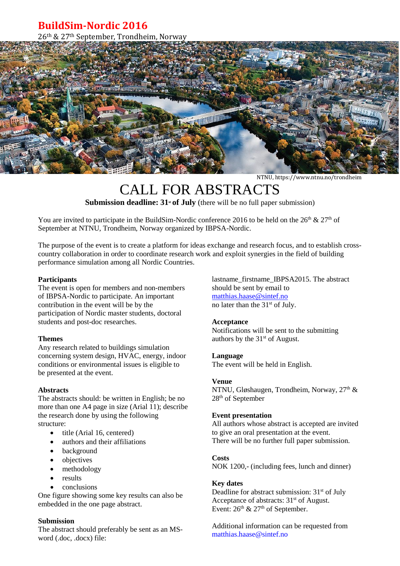# **BuildSim-Nordic 2016**

26th & 27th September, Trondheim, Norway



NTNU, https://www.ntnu.no/trondheim

# CALL FOR ABSTRACTS

**Submission deadline: 31<sup>st</sup> of July** (there will be no full paper submission)

You are invited to participate in the BuildSim-Nordic conference 2016 to be held on the  $26<sup>th</sup>$  &  $27<sup>th</sup>$  of September at NTNU, Trondheim, Norway organized by IBPSA-Nordic.

The purpose of the event is to create a platform for ideas exchange and research focus, and to establish crosscountry collaboration in order to coordinate research work and exploit synergies in the field of building performance simulation among all Nordic Countries.

#### **Participants**

The event is open for members and non-members of IBPSA-Nordic to participate. An important contribution in the event will be by the participation of Nordic master students, doctoral students and post-doc researches.

#### **Themes**

Any research related to buildings simulation concerning system design, HVAC, energy, indoor conditions or environmental issues is eligible to be presented at the event.

#### **Abstracts**

The abstracts should: be written in English; be no more than one A4 page in size (Arial 11); describe the research done by using the following structure:

- title (Arial 16, centered)
- authors and their affiliations
- background
- objectives
- methodology
- results
- conclusions

One figure showing some key results can also be embedded in the one page abstract.

#### **Submission**

The abstract should preferably be sent as an MSword (.doc, .docx) file:

lastname\_firstname\_IBPSA2015. The abstract should be sent by email to [matthias.haase@sintef.no](mailto:matthias.haase@sintef.no) no later than the 31<sup>st</sup> of July.

#### **Acceptance**

Notifications will be sent to the submitting authors by the  $31<sup>st</sup>$  of August.

#### **Language**

The event will be held in English.

#### **Venue**

NTNU, Gløshaugen, Trondheim, Norway,  $27<sup>th</sup>$  & 28th of September

#### **Event presentation**

All authors whose abstract is accepted are invited to give an oral presentation at the event. There will be no further full paper submission.

#### **Costs**

NOK 1200,- (including fees, lunch and dinner)

#### **Key dates**

Deadline for abstract submission:  $31<sup>st</sup>$  of July Acceptance of abstracts: 31<sup>st</sup> of August. Event:  $26<sup>th</sup>$  &  $27<sup>th</sup>$  of September.

Additional information can be requested from matthias.haase@sintef.no